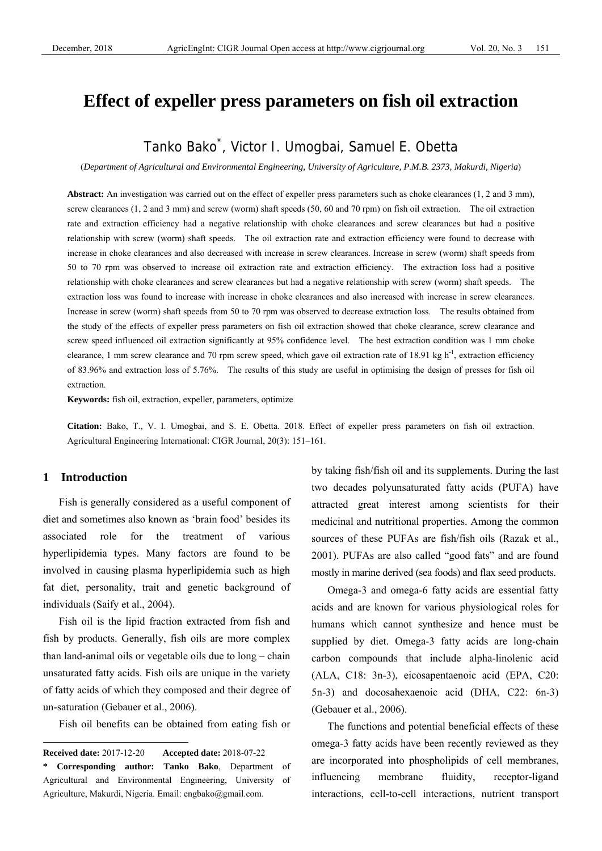# **Effect of expeller press parameters on fish oil extraction**

# Tanko Bako\* , Victor I. Umogbai, Samuel E. Obetta

(*Department of Agricultural and Environmental Engineering, University of Agriculture, P.M.B. 2373, Makurdi, Nigeria*)

Abstract: An investigation was carried out on the effect of expeller press parameters such as choke clearances (1, 2 and 3 mm), screw clearances (1, 2 and 3 mm) and screw (worm) shaft speeds (50, 60 and 70 rpm) on fish oil extraction. The oil extraction rate and extraction efficiency had a negative relationship with choke clearances and screw clearances but had a positive relationship with screw (worm) shaft speeds. The oil extraction rate and extraction efficiency were found to decrease with increase in choke clearances and also decreased with increase in screw clearances. Increase in screw (worm) shaft speeds from 50 to 70 rpm was observed to increase oil extraction rate and extraction efficiency. The extraction loss had a positive relationship with choke clearances and screw clearances but had a negative relationship with screw (worm) shaft speeds. The extraction loss was found to increase with increase in choke clearances and also increased with increase in screw clearances. Increase in screw (worm) shaft speeds from 50 to 70 rpm was observed to decrease extraction loss. The results obtained from the study of the effects of expeller press parameters on fish oil extraction showed that choke clearance, screw clearance and screw speed influenced oil extraction significantly at 95% confidence level. The best extraction condition was 1 mm choke clearance, 1 mm screw clearance and 70 rpm screw speed, which gave oil extraction rate of 18.91 kg  $h^{-1}$ , extraction efficiency of 83.96% and extraction loss of 5.76%. The results of this study are useful in optimising the design of presses for fish oil extraction.

**Keywords:** fish oil, extraction, expeller, parameters, optimize

**Citation:** Bako, T., V. I. Umogbai, and S. E. Obetta. 2018. Effect of expeller press parameters on fish oil extraction. Agricultural Engineering International: CIGR Journal, 20(3): 151–161.

### **1 Introduction**

 $\overline{a}$ 

Fish is generally considered as a useful component of diet and sometimes also known as 'brain food' besides its associated role for the treatment of various hyperlipidemia types. Many factors are found to be involved in causing plasma hyperlipidemia such as high fat diet, personality, trait and genetic background of individuals (Saify et al., 2004).

Fish oil is the lipid fraction extracted from fish and fish by products. Generally, fish oils are more complex than land-animal oils or vegetable oils due to long – chain unsaturated fatty acids. Fish oils are unique in the variety of fatty acids of which they composed and their degree of un-saturation (Gebauer et al., 2006).

Fish oil benefits can be obtained from eating fish or

by taking fish/fish oil and its supplements. During the last two decades polyunsaturated fatty acids (PUFA) have attracted great interest among scientists for their medicinal and nutritional properties. Among the common sources of these PUFAs are fish/fish oils (Razak et al., 2001). PUFAs are also called "good fats" and are found mostly in marine derived (sea foods) and flax seed products.

Omega-3 and omega-6 fatty acids are essential fatty acids and are known for various physiological roles for humans which cannot synthesize and hence must be supplied by diet. Omega-3 fatty acids are long-chain carbon compounds that include alpha-linolenic acid (ALA, C18: 3n-3), eicosapentaenoic acid (EPA, C20: 5n-3) and docosahexaenoic acid (DHA, C22: 6n-3) (Gebauer et al., 2006).

The functions and potential beneficial effects of these omega-3 fatty acids have been recently reviewed as they are incorporated into phospholipids of cell membranes, influencing membrane fluidity, receptor-ligand interactions, cell-to-cell interactions, nutrient transport

**Received date:** 2017-12-20 **Accepted date:** 2018-07-22

**<sup>\*</sup> Corresponding author: Tanko Bako**, Department of Agricultural and Environmental Engineering, University of Agriculture, Makurdi, Nigeria. Email: engbako@gmail.com.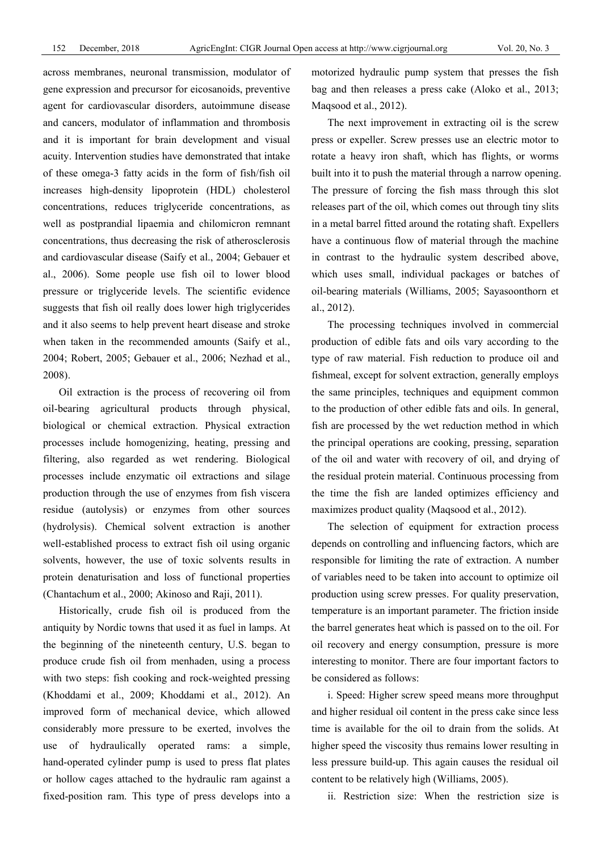across membranes, neuronal transmission, modulator of gene expression and precursor for eicosanoids, preventive agent for cardiovascular disorders, autoimmune disease and cancers, modulator of inflammation and thrombosis and it is important for brain development and visual acuity. Intervention studies have demonstrated that intake of these omega-3 fatty acids in the form of fish/fish oil increases high-density lipoprotein (HDL) cholesterol concentrations, reduces triglyceride concentrations, as well as postprandial lipaemia and chilomicron remnant concentrations, thus decreasing the risk of atherosclerosis and cardiovascular disease (Saify et al., 2004; Gebauer et al., 2006). Some people use fish oil to lower blood pressure or triglyceride levels. The scientific evidence suggests that fish oil really does lower high triglycerides and it also seems to help prevent heart disease and stroke when taken in the recommended amounts (Saify et al., 2004; Robert, 2005; Gebauer et al., 2006; Nezhad et al., 2008).

Oil extraction is the process of recovering oil from oil-bearing agricultural products through physical, biological or chemical extraction. Physical extraction processes include homogenizing, heating, pressing and filtering, also regarded as wet rendering. Biological processes include enzymatic oil extractions and silage production through the use of enzymes from fish viscera residue (autolysis) or enzymes from other sources (hydrolysis). Chemical solvent extraction is another well-established process to extract fish oil using organic solvents, however, the use of toxic solvents results in protein denaturisation and loss of functional properties (Chantachum et al., 2000; Akinoso and Raji, 2011).

Historically, crude fish oil is produced from the antiquity by Nordic towns that used it as fuel in lamps. At the beginning of the nineteenth century, U.S. began to produce crude fish oil from menhaden, using a process with two steps: fish cooking and rock-weighted pressing (Khoddami et al., 2009; Khoddami et al., 2012). An improved form of mechanical device, which allowed considerably more pressure to be exerted, involves the use of hydraulically operated rams: a simple, hand-operated cylinder pump is used to press flat plates or hollow cages attached to the hydraulic ram against a fixed-position ram. This type of press develops into a

motorized hydraulic pump system that presses the fish bag and then releases a press cake (Aloko et al., 2013; Maqsood et al., 2012).

The next improvement in extracting oil is the screw press or expeller. Screw presses use an electric motor to rotate a heavy iron shaft, which has flights, or worms built into it to push the material through a narrow opening. The pressure of forcing the fish mass through this slot releases part of the oil, which comes out through tiny slits in a metal barrel fitted around the rotating shaft. Expellers have a continuous flow of material through the machine in contrast to the hydraulic system described above, which uses small, individual packages or batches of oil-bearing materials (Williams, 2005; Sayasoonthorn et al., 2012).

The processing techniques involved in commercial production of edible fats and oils vary according to the type of raw material. Fish reduction to produce oil and fishmeal, except for solvent extraction, generally employs the same principles, techniques and equipment common to the production of other edible fats and oils. In general, fish are processed by the wet reduction method in which the principal operations are cooking, pressing, separation of the oil and water with recovery of oil, and drying of the residual protein material. Continuous processing from the time the fish are landed optimizes efficiency and maximizes product quality (Maqsood et al., 2012).

The selection of equipment for extraction process depends on controlling and influencing factors, which are responsible for limiting the rate of extraction. A number of variables need to be taken into account to optimize oil production using screw presses. For quality preservation, temperature is an important parameter. The friction inside the barrel generates heat which is passed on to the oil. For oil recovery and energy consumption, pressure is more interesting to monitor. There are four important factors to be considered as follows:

i. Speed: Higher screw speed means more throughput and higher residual oil content in the press cake since less time is available for the oil to drain from the solids. At higher speed the viscosity thus remains lower resulting in less pressure build-up. This again causes the residual oil content to be relatively high (Williams, 2005).

ii. Restriction size: When the restriction size is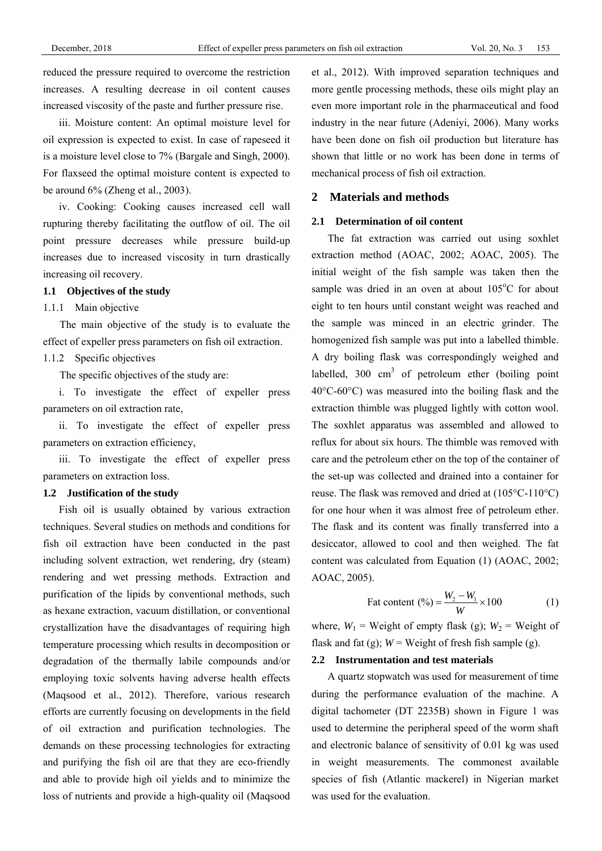reduced the pressure required to overcome the restriction increases. A resulting decrease in oil content causes increased viscosity of the paste and further pressure rise.

iii. Moisture content: An optimal moisture level for oil expression is expected to exist. In case of rapeseed it is a moisture level close to 7% (Bargale and Singh, 2000). For flaxseed the optimal moisture content is expected to be around 6% (Zheng et al., 2003).

iv. Cooking: Cooking causes increased cell wall rupturing thereby facilitating the outflow of oil. The oil point pressure decreases while pressure build-up increases due to increased viscosity in turn drastically increasing oil recovery.

#### **1.1 Objectives of the study**

### 1.1.1 Main objective

The main objective of the study is to evaluate the effect of expeller press parameters on fish oil extraction.

### 1.1.2 Specific objectives

The specific objectives of the study are:

i. To investigate the effect of expeller press parameters on oil extraction rate,

ii. To investigate the effect of expeller press parameters on extraction efficiency,

iii. To investigate the effect of expeller press parameters on extraction loss.

#### **1.2 Justification of the study**

Fish oil is usually obtained by various extraction techniques. Several studies on methods and conditions for fish oil extraction have been conducted in the past including solvent extraction, wet rendering, dry (steam) rendering and wet pressing methods. Extraction and purification of the lipids by conventional methods, such as hexane extraction, vacuum distillation, or conventional crystallization have the disadvantages of requiring high temperature processing which results in decomposition or degradation of the thermally labile compounds and/or employing toxic solvents having adverse health effects (Maqsood et al., 2012). Therefore, various research efforts are currently focusing on developments in the field of oil extraction and purification technologies. The demands on these processing technologies for extracting and purifying the fish oil are that they are eco-friendly and able to provide high oil yields and to minimize the loss of nutrients and provide a high-quality oil (Maqsood

et al., 2012). With improved separation techniques and more gentle processing methods, these oils might play an even more important role in the pharmaceutical and food industry in the near future (Adeniyi, 2006). Many works have been done on fish oil production but literature has shown that little or no work has been done in terms of mechanical process of fish oil extraction.

### **2 Materials and methods**

#### **2.1 Determination of oil content**

The fat extraction was carried out using soxhlet extraction method (AOAC, 2002; AOAC, 2005). The initial weight of the fish sample was taken then the sample was dried in an oven at about  $105^{\circ}$ C for about eight to ten hours until constant weight was reached and the sample was minced in an electric grinder. The homogenized fish sample was put into a labelled thimble. A dry boiling flask was correspondingly weighed and labelled,  $300 \text{ cm}^3$  of petroleum ether (boiling point 40°C-60°C) was measured into the boiling flask and the extraction thimble was plugged lightly with cotton wool. The soxhlet apparatus was assembled and allowed to reflux for about six hours. The thimble was removed with care and the petroleum ether on the top of the container of the set-up was collected and drained into a container for reuse. The flask was removed and dried at (105°C-110°C) for one hour when it was almost free of petroleum ether. The flask and its content was finally transferred into a desiccator, allowed to cool and then weighed. The fat content was calculated from Equation (1) (AOAC, 2002; AOAC, 2005).

$$
ext{Part content } (\%) = \frac{W_2 - W_1}{W} \times 100
$$
 (1)

where,  $W_1$  = Weight of empty flask (g);  $W_2$  = Weight of flask and fat  $(g)$ ;  $W =$  Weight of fresh fish sample  $(g)$ .

### **2.2 Instrumentation and test materials**

A quartz stopwatch was used for measurement of time during the performance evaluation of the machine. A digital tachometer (DT 2235B) shown in Figure 1 was used to determine the peripheral speed of the worm shaft and electronic balance of sensitivity of 0.01 kg was used in weight measurements. The commonest available species of fish (Atlantic mackerel) in Nigerian market was used for the evaluation.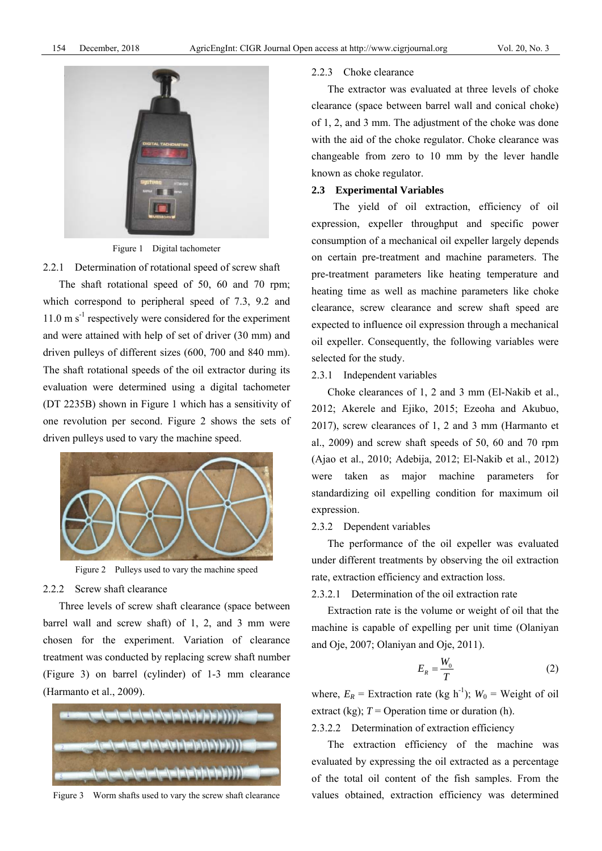

Figure 1 Digital tachometer

2.2.1 Determination of rotational speed of screw shaft

The shaft rotational speed of 50, 60 and 70 rpm; which correspond to peripheral speed of 7.3, 9.2 and  $11.0 \text{ m s}^{-1}$  respectively were considered for the experiment and were attained with help of set of driver (30 mm) and driven pulleys of different sizes (600, 700 and 840 mm). The shaft rotational speeds of the oil extractor during its evaluation were determined using a digital tachometer (DT 2235B) shown in Figure 1 which has a sensitivity of one revolution per second. Figure 2 shows the sets of driven pulleys used to vary the machine speed.



Figure 2 Pulleys used to vary the machine speed

#### 2.2.2 Screw shaft clearance

Three levels of screw shaft clearance (space between barrel wall and screw shaft) of 1, 2, and 3 mm were chosen for the experiment. Variation of clearance treatment was conducted by replacing screw shaft number (Figure 3) on barrel (cylinder) of 1-3 mm clearance (Harmanto et al., 2009).



Figure 3 Worm shafts used to vary the screw shaft clearance

### 2.2.3 Choke clearance

The extractor was evaluated at three levels of choke clearance (space between barrel wall and conical choke) of 1, 2, and 3 mm. The adjustment of the choke was done with the aid of the choke regulator. Choke clearance was changeable from zero to 10 mm by the lever handle known as choke regulator.

#### **2.3 Experimental Variables**

The yield of oil extraction, efficiency of oil expression, expeller throughput and specific power consumption of a mechanical oil expeller largely depends on certain pre-treatment and machine parameters. The pre-treatment parameters like heating temperature and heating time as well as machine parameters like choke clearance, screw clearance and screw shaft speed are expected to influence oil expression through a mechanical oil expeller. Consequently, the following variables were selected for the study.

### 2.3.1 Independent variables

Choke clearances of 1, 2 and 3 mm (El-Nakib et al., 2012; Akerele and Ejiko, 2015; Ezeoha and Akubuo, 2017), screw clearances of 1, 2 and 3 mm (Harmanto et al., 2009) and screw shaft speeds of 50, 60 and 70 rpm (Ajao et al., 2010; Adebija, 2012; El-Nakib et al., 2012) were taken as major machine parameters for standardizing oil expelling condition for maximum oil expression.

#### 2.3.2 Dependent variables

The performance of the oil expeller was evaluated under different treatments by observing the oil extraction rate, extraction efficiency and extraction loss.

### 2.3.2.1 Determination of the oil extraction rate

Extraction rate is the volume or weight of oil that the machine is capable of expelling per unit time (Olaniyan and Oje, 2007; Olaniyan and Oje, 2011).

$$
E_R = \frac{W_0}{T} \tag{2}
$$

where,  $E_R$  = Extraction rate (kg h<sup>-1</sup>);  $W_0$  = Weight of oil extract (kg);  $T =$  Operation time or duration (h).

2.3.2.2 Determination of extraction efficiency

The extraction efficiency of the machine was evaluated by expressing the oil extracted as a percentage of the total oil content of the fish samples. From the values obtained, extraction efficiency was determined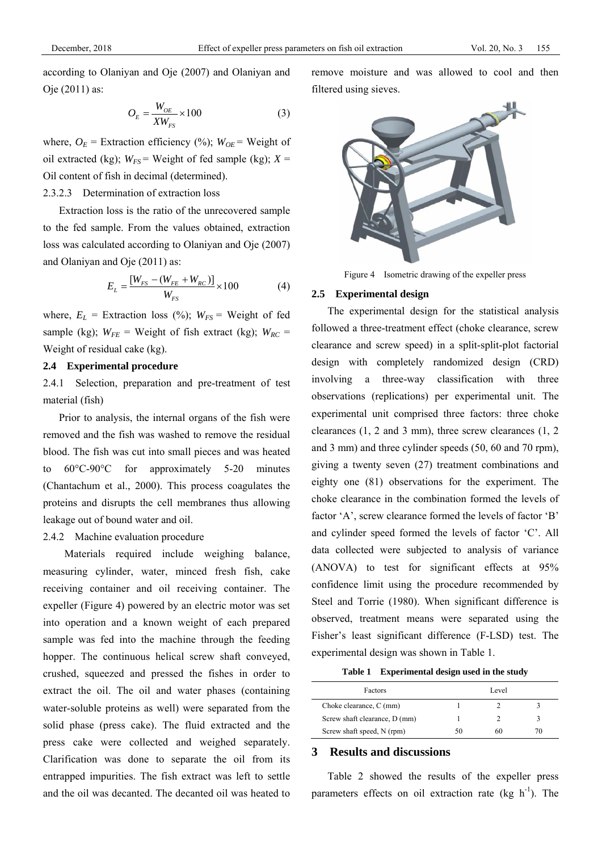according to Olaniyan and Oje (2007) and Olaniyan and Oje (2011) as:

$$
O_E = \frac{W_{OE}}{XW_{FS}} \times 100\tag{3}
$$

where,  $O_E$  = Extraction efficiency (%);  $W_{OE}$  = Weight of oil extracted (kg);  $W_{FS}$  = Weight of fed sample (kg);  $X =$ Oil content of fish in decimal (determined).

### 2.3.2.3 Determination of extraction loss

Extraction loss is the ratio of the unrecovered sample to the fed sample. From the values obtained, extraction loss was calculated according to Olaniyan and Oje (2007) and Olaniyan and Oje (2011) as:

$$
E_{L} = \frac{[W_{FS} - (W_{FE} + W_{RC})]}{W_{FS}} \times 100
$$
 (4)

where,  $E_L$  = Extraction loss (%);  $W_{FS}$  = Weight of fed sample (kg);  $W_{FE}$  = Weight of fish extract (kg);  $W_{RC}$  = Weight of residual cake (kg).

### **2.4 Experimental procedure**

2.4.1 Selection, preparation and pre-treatment of test material (fish)

Prior to analysis, the internal organs of the fish were removed and the fish was washed to remove the residual blood. The fish was cut into small pieces and was heated to 60°C-90°C for approximately 5-20 minutes (Chantachum et al., 2000). This process coagulates the proteins and disrupts the cell membranes thus allowing leakage out of bound water and oil.

### 2.4.2 Machine evaluation procedure

Materials required include weighing balance, measuring cylinder, water, minced fresh fish, cake receiving container and oil receiving container. The expeller (Figure 4) powered by an electric motor was set into operation and a known weight of each prepared sample was fed into the machine through the feeding hopper. The continuous helical screw shaft conveyed, crushed, squeezed and pressed the fishes in order to extract the oil. The oil and water phases (containing water-soluble proteins as well) were separated from the solid phase (press cake). The fluid extracted and the press cake were collected and weighed separately. Clarification was done to separate the oil from its entrapped impurities. The fish extract was left to settle and the oil was decanted. The decanted oil was heated to remove moisture and was allowed to cool and then filtered using sieves.



Figure 4 Isometric drawing of the expeller press

### **2.5 Experimental design**

The experimental design for the statistical analysis followed a three-treatment effect (choke clearance, screw clearance and screw speed) in a split-split-plot factorial design with completely randomized design (CRD) involving a three-way classification with three observations (replications) per experimental unit. The experimental unit comprised three factors: three choke clearances (1, 2 and 3 mm), three screw clearances (1, 2 and 3 mm) and three cylinder speeds (50, 60 and 70 rpm), giving a twenty seven (27) treatment combinations and eighty one (81) observations for the experiment. The choke clearance in the combination formed the levels of factor 'A', screw clearance formed the levels of factor 'B' and cylinder speed formed the levels of factor 'C'. All data collected were subjected to analysis of variance (ANOVA) to test for significant effects at 95% confidence limit using the procedure recommended by Steel and Torrie (1980). When significant difference is observed, treatment means were separated using the Fisher's least significant difference (F-LSD) test. The experimental design was shown in Table 1.

**Table 1 Experimental design used in the study** 

| <b>Factors</b>                | Level |    |    |  |
|-------------------------------|-------|----|----|--|
| Choke clearance, C (mm)       |       |    |    |  |
| Screw shaft clearance, D (mm) |       |    |    |  |
| Screw shaft speed, N (rpm)    | 50    | 60 | 70 |  |
|                               |       |    |    |  |

### **3 Results and discussions**

Table 2 showed the results of the expeller press parameters effects on oil extraction rate (kg  $h^{-1}$ ). The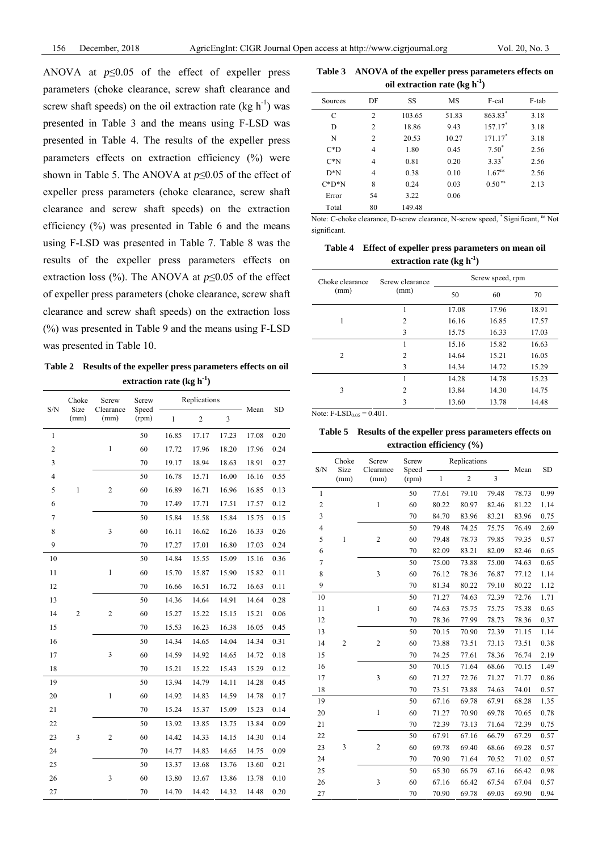ANOVA at  $p \le 0.05$  of the effect of expeller press parameters (choke clearance, screw shaft clearance and screw shaft speeds) on the oil extraction rate (kg  $h^{-1}$ ) was presented in Table 3 and the means using F-LSD was presented in Table 4. The results of the expeller press parameters effects on extraction efficiency (%) were shown in Table 5. The ANOVA at *p*≤0.05 of the effect of expeller press parameters (choke clearance, screw shaft clearance and screw shaft speeds) on the extraction efficiency (%) was presented in Table 6 and the means using F-LSD was presented in Table 7. Table 8 was the results of the expeller press parameters effects on extraction loss (%). The ANOVA at *p*≤0.05 of the effect of expeller press parameters (choke clearance, screw shaft clearance and screw shaft speeds) on the extraction loss (%) was presented in Table 9 and the means using F-LSD was presented in Table 10.

**Table 2 Results of the expeller press parameters effects on oil extraction rate (kg h-1)** 

|                | Choke<br>Screw |                   | Screw          | Replications |                |       |       |           |
|----------------|----------------|-------------------|----------------|--------------|----------------|-------|-------|-----------|
| S/N            | Size<br>(mm)   | Clearance<br>(mm) | Speed<br>(rpm) | $\mathbf{1}$ | $\overline{2}$ | 3     | Mean  | <b>SD</b> |
| $\mathbf{1}$   |                |                   | 50             | 16.85        | 17.17          | 17.23 | 17.08 | 0.20      |
| $\overline{c}$ |                | $\mathbf{1}$      | 60             | 17.72        | 17.96          | 18.20 | 17.96 | 0.24      |
| 3              |                |                   | 70             | 19.17        | 18.94          | 18.63 | 18.91 | 0.27      |
| 4              |                |                   | 50             | 16.78        | 15.71          | 16.00 | 16.16 | 0.55      |
| 5              | $\,$ 1         | $\overline{c}$    | 60             | 16.89        | 16.71          | 16.96 | 16.85 | 0.13      |
| 6              |                |                   | 70             | 17.49        | 17.71          | 17.51 | 17.57 | 0.12      |
| $\overline{7}$ |                |                   | 50             | 15.84        | 15.58          | 15.84 | 15.75 | 0.15      |
| 8              |                | 3                 | 60             | 16.11        | 16.62          | 16.26 | 16.33 | 0.26      |
| 9              |                |                   | 70             | 17.27        | 17.01          | 16.80 | 17.03 | 0.24      |
| 10             |                |                   | 50             | 14.84        | 15.55          | 15.09 | 15.16 | 0.36      |
| 11             |                | $\mathbf{1}$      | 60             | 15.70        | 15.87          | 15.90 | 15.82 | 0.11      |
| 12             |                |                   | 70             | 16.66        | 16.51          | 16.72 | 16.63 | 0.11      |
| 13             |                |                   | 50             | 14.36        | 14.64          | 14.91 | 14.64 | 0.28      |
| 14             | $\overline{c}$ | $\overline{c}$    | 60             | 15.27        | 15.22          | 15.15 | 15.21 | $0.06\,$  |
| 15             |                |                   | 70             | 15.53        | 16.23          | 16.38 | 16.05 | 0.45      |
| 16             |                |                   | 50             | 14.34        | 14.65          | 14.04 | 14.34 | 0.31      |
| 17             |                | 3                 | 60             | 14.59        | 14.92          | 14.65 | 14.72 | 0.18      |
| 18             |                |                   | 70             | 15.21        | 15.22          | 15.43 | 15.29 | 0.12      |
| 19             |                |                   | 50             | 13.94        | 14.79          | 14.11 | 14.28 | 0.45      |
| 20             |                | $\mathbf{1}$      | 60             | 14.92        | 14.83          | 14.59 | 14.78 | 0.17      |
| 21             |                |                   | 70             | 15.24        | 15.37          | 15.09 | 15.23 | 0.14      |
| 22             |                |                   | 50             | 13.92        | 13.85          | 13.75 | 13.84 | 0.09      |
| 23             | 3              | $\overline{c}$    | 60             | 14.42        | 14.33          | 14.15 | 14.30 | 0.14      |
| 24             |                |                   | 70             | 14.77        | 14.83          | 14.65 | 14.75 | 0.09      |
| 25             |                |                   | 50             | 13.37        | 13.68          | 13.76 | 13.60 | 0.21      |
| 26             |                | 3                 | 60             | 13.80        | 13.67          | 13.86 | 13.78 | 0.10      |
| 27             |                |                   | 70             | 14.70        | 14.42          | 14.32 | 14.48 | 0.20      |

| Table 3 ANOVA of the expeller press parameters effects on |
|-----------------------------------------------------------|
| oil extraction rate $(kg h^{-1})$                         |

| SS<br>DF<br>MS<br>F-cal<br>Sources                     | F-tab |
|--------------------------------------------------------|-------|
|                                                        |       |
| 863.83*<br>$\overline{2}$<br>C<br>51.83<br>103.65      | 3.18  |
| $157.17*$<br>18.86<br>9.43<br>D<br>2                   | 3.18  |
| $171.17*$<br>N<br>$\overline{2}$<br>20.53<br>10.27     | 3.18  |
| $7.50^*$<br>$C^*D$<br>1.80<br>0.45<br>$\overline{4}$   | 2.56  |
| $3.33*$<br>$C^*N$<br>4<br>0.20<br>0.81                 | 2.56  |
| $1.67^{ns}$<br>$D*N$<br>$\overline{4}$<br>0.38<br>0.10 | 2.56  |
| 0.50 <sup>ns</sup><br>8<br>$C^*D^*N$<br>0.24<br>0.03   | 2.13  |
| 0.06<br>54<br>3.22<br>Error                            |       |
| 80<br>149.48<br>Total                                  |       |

Note: C-choke clearance, D-screw clearance, N-screw speed, \* Significant, <sup>ns</sup> Not significant.

**Table 4 Effect of expeller press parameters on mean oil extraction rate (kg h-1)** 

| Choke clearance | Screw clearance | Screw speed, rpm |       |       |  |
|-----------------|-----------------|------------------|-------|-------|--|
| (mm)            | (mm)            | 50               | 60    | 70    |  |
|                 | 1               | 17.08            | 17.96 | 18.91 |  |
| 1               | $\overline{2}$  | 16.16            | 16.85 | 17.57 |  |
|                 | 3               | 15.75            | 16.33 | 17.03 |  |
|                 | 1               | 15.16            | 15.82 | 16.63 |  |
| $\mathfrak{D}$  | $\overline{2}$  | 14.64            | 15.21 | 16.05 |  |
|                 | 3               | 14.34            | 14.72 | 15.29 |  |
| 3               | 1               | 14.28            | 14.78 | 15.23 |  |
|                 | $\overline{2}$  | 13.84            | 14.30 | 14.75 |  |
|                 | 3               | 13.60            | 13.78 | 14.48 |  |

Note:  $F-LSD_{0.05} = 0.401$ .

**Table 5 Results of the expeller press parameters effects on extraction efficiency (%)** 

| S/N            | Choke          | Screw<br>Size<br>Clearance |                | Replications |                |       | Mean  | <b>SD</b> |
|----------------|----------------|----------------------------|----------------|--------------|----------------|-------|-------|-----------|
|                | (mm)           | (mm)                       | Speed<br>(rpm) | 1            | $\overline{c}$ | 3     |       |           |
| $\mathbf{1}$   |                |                            | 50             | 77.61        | 79.10          | 79.48 | 78.73 | 0.99      |
| $\overline{c}$ |                | $\mathbf{1}$               | 60             | 80.22        | 80.97          | 82.46 | 81.22 | 1.14      |
| 3              |                |                            | 70             | 84.70        | 83.96          | 83.21 | 83.96 | 0.75      |
| 4              |                |                            | 50             | 79.48        | 74.25          | 75.75 | 76.49 | 2.69      |
| 5              | $\mathbf{1}$   | $\overline{c}$             | 60             | 79.48        | 78.73          | 79.85 | 79.35 | 0.57      |
| 6              |                |                            | 70             | 82.09        | 83.21          | 82.09 | 82.46 | 0.65      |
| 7              |                |                            | 50             | 75.00        | 73.88          | 75.00 | 74.63 | 0.65      |
| 8              |                | 3                          | 60             | 76.12        | 78.36          | 76.87 | 77.12 | 1.14      |
| 9              |                |                            | 70             | 81.34        | 80.22          | 79.10 | 80.22 | 1.12      |
| 10             |                |                            | 50             | 71.27        | 74.63          | 72.39 | 72.76 | 1.71      |
| 11             |                | $\mathbf{1}$               | 60             | 74.63        | 75.75          | 75.75 | 75.38 | 0.65      |
| 12             |                | 70                         | 78.36          | 77.99        | 78.73          | 78.36 | 0.37  |           |
| 13             | $\overline{2}$ |                            | 50             | 70.15        | 70.90          | 72.39 | 71.15 | 1.14      |
| 14             |                | $\overline{c}$             | 60             | 73.88        | 73.51          | 73.13 | 73.51 | 0.38      |
| 15             |                |                            |                | 70           | 74.25          | 77.61 | 78.36 | 76.74     |
| 16             |                |                            | 50             | 70.15        | 71.64          | 68.66 | 70.15 | 1.49      |
| 17             |                | $\overline{\mathbf{3}}$    | 60             | 71.27        | 72.76          | 71.27 | 71.77 | 0.86      |
| 18             |                |                            | 70             | 73.51        | 73.88          | 74.63 | 74.01 | 0.57      |
| 19             |                |                            | 50             | 67.16        | 69.78          | 67.91 | 68.28 | 1.35      |
| 20             |                | $\mathbf{1}$               | 60             | 71.27        | 70.90          | 69.78 | 70.65 | 0.78      |
| 21             |                |                            | 70             | 72.39        | 73.13          | 71.64 | 72.39 | 0.75      |
| 22             |                |                            | 50             | 67.91        | 67.16          | 66.79 | 67.29 | 0.57      |
| 23             | 3              | $\overline{c}$             | 60             | 69.78        | 69.40          | 68.66 | 69.28 | 0.57      |
| 24             |                |                            | 70             | 70.90        | 71.64          | 70.52 | 71.02 | 0.57      |
| 25             |                |                            | 50             | 65.30        | 66.79          | 67.16 | 66.42 | 0.98      |
| 26             |                | 3                          | 60             | 67.16        | 66.42          | 67.54 | 67.04 | 0.57      |
| 27             |                |                            | 70             | 70.90        | 69.78          | 69.03 | 69.90 | 0.94      |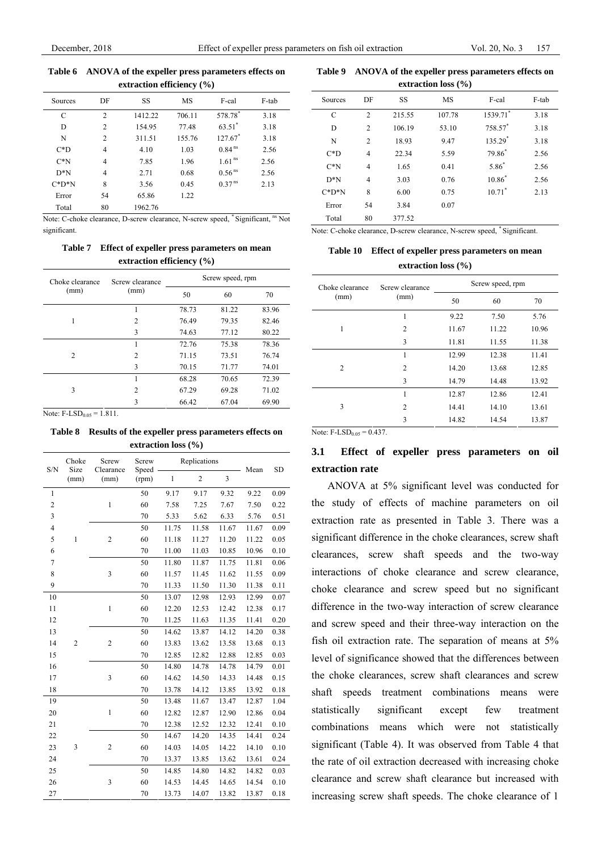#### **Table 6 ANOVA of the expeller press parameters effects on extraction efficiency (%)**

| <b>CALL ACLIVIII CHICICIICY</b> (707 |                |         |        |                       |       |  |
|--------------------------------------|----------------|---------|--------|-----------------------|-------|--|
| Sources                              | DF             | SS      | MS     | F-cal                 | F-tab |  |
| C                                    | $\overline{2}$ | 1412.22 | 706.11 | 578.78*               | 3.18  |  |
| D                                    | 2              | 154.95  | 77.48  | $63.51$ <sup>*</sup>  | 3.18  |  |
| N                                    | $\overline{c}$ | 311.51  | 155.76 | $127.67$ <sup>*</sup> | 3.18  |  |
| $C^*D$                               | $\overline{4}$ | 4.10    | 1.03   | $0.84$ <sup>ns</sup>  | 2.56  |  |
| $C^*N$                               | $\overline{4}$ | 7.85    | 1.96   | 1.61 <sup>ns</sup>    | 2.56  |  |
| $D*N$                                | $\overline{4}$ | 2.71    | 0.68   | 0.56 <sup>ns</sup>    | 2.56  |  |
| $C^*D^*N$                            | 8              | 3.56    | 0.45   | 0.37 <sup>ns</sup>    | 2.13  |  |
| Error                                | 54             | 65.86   | 1.22   |                       |       |  |
| Total                                | 80             | 1962.76 |        |                       |       |  |

Note: C-choke clearance, D-screw clearance, N-screw speed, \* Significant, ns Not significant.

### **Table 7 Effect of expeller press parameters on mean extraction efficiency (%)**

| Choke clearance | Screw clearance | Screw speed, rpm |       |       |  |
|-----------------|-----------------|------------------|-------|-------|--|
| (mm)            | (mm)            | 50               | 60    | 70    |  |
|                 | 1               | 78.73            | 81.22 | 83.96 |  |
| 1               | 2               | 76.49            | 79.35 | 82.46 |  |
|                 | 3               | 74.63            | 77.12 | 80.22 |  |
|                 | 1               | 72.76            | 75.38 | 78.36 |  |
| $\mathfrak{D}$  | $\overline{c}$  | 71.15            | 73.51 | 76.74 |  |
|                 | 3               | 70.15            | 71.77 | 74.01 |  |
| 3               | 1               | 68.28            | 70.65 | 72.39 |  |
|                 | 2               | 67.29            | 69.28 | 71.02 |  |
|                 | 3               | 66.42            | 67.04 | 69.90 |  |

Note:  $F-LSD_{0.05} = 1.811$ .

#### **Table 8 Results of the expeller press parameters effects on extraction loss (%)**

| S/N                     | Choke<br>Size  | Screw<br>Clearance      | Screw<br>Replications<br>Speed |              | Mean           | <b>SD</b> |       |      |
|-------------------------|----------------|-------------------------|--------------------------------|--------------|----------------|-----------|-------|------|
|                         | (mm)           | (mm)                    | (rpm)                          | $\mathbf{1}$ | $\overline{c}$ | 3         |       |      |
| $\mathbf{1}$            |                |                         | 50                             | 9.17         | 9.17           | 9.32      | 9.22  | 0.09 |
| $\overline{\mathbf{c}}$ |                | $\mathbf{1}$            | 60                             | 7.58         | 7.25           | 7.67      | 7.50  | 0.22 |
| 3                       |                |                         | 70                             | 5.33         | 5.62           | 6.33      | 5.76  | 0.51 |
| 4                       |                |                         | 50                             | 11.75        | 11.58          | 11.67     | 11.67 | 0.09 |
| 5                       | $\mathbf{1}$   | $\overline{2}$          | 60                             | 11.18        | 11.27          | 11.20     | 11.22 | 0.05 |
| 6                       |                |                         | 70                             | 11.00        | 11.03          | 10.85     | 10.96 | 0.10 |
| $\boldsymbol{7}$        |                |                         | 50                             | 11.80        | 11.87          | 11.75     | 11.81 | 0.06 |
| 8                       |                | 3                       | 60                             | 11.57        | 11.45          | 11.62     | 11.55 | 0.09 |
| 9                       |                |                         | 70                             | 11.33        | 11.50          | 11.30     | 11.38 | 0.11 |
| 10                      |                |                         | 50                             | 13.07        | 12.98          | 12.93     | 12.99 | 0.07 |
| 11                      |                | $\mathbf{1}$            | 60                             | 12.20        | 12.53          | 12.42     | 12.38 | 0.17 |
| 12                      |                |                         | 70                             | 11.25        | 11.63          | 11.35     | 11.41 | 0.20 |
| 13                      |                |                         | 50                             | 14.62        | 13.87          | 14.12     | 14.20 | 0.38 |
| 14                      | $\overline{2}$ | $\overline{2}$          | 60                             | 13.83        | 13.62          | 13.58     | 13.68 | 0.13 |
| 15                      |                |                         | 70                             | 12.85        | 12.82          | 12.88     | 12.85 | 0.03 |
| 16                      |                |                         | 50                             | 14.80        | 14.78          | 14.78     | 14.79 | 0.01 |
| 17                      |                | $\overline{\mathbf{3}}$ | 60                             | 14.62        | 14.50          | 14.33     | 14.48 | 0.15 |
| 18                      |                |                         | 70                             | 13.78        | 14.12          | 13.85     | 13.92 | 0.18 |
| 19                      |                |                         | 50                             | 13.48        | 11.67          | 13.47     | 12.87 | 1.04 |
| 20                      |                | $\mathbf{1}$            | 60                             | 12.82        | 12.87          | 12.90     | 12.86 | 0.04 |
| 21                      |                |                         | 70                             | 12.38        | 12.52          | 12.32     | 12.41 | 0.10 |
| 22                      |                |                         | 50                             | 14.67        | 14.20          | 14.35     | 14.41 | 0.24 |
| 23                      | 3              | $\overline{2}$          | 60                             | 14.03        | 14.05          | 14.22     | 14.10 | 0.10 |
| 24                      |                |                         | 70                             | 13.37        | 13.85          | 13.62     | 13.61 | 0.24 |
| 25                      |                |                         | 50                             | 14.85        | 14.80          | 14.82     | 14.82 | 0.03 |
| 26                      |                | 3                       | 60                             | 14.53        | 14.45          | 14.65     | 14.54 | 0.10 |
| 27                      |                |                         | 70                             | 13.73        | 14.07          | 13.82     | 13.87 | 0.18 |

#### **Table 9 ANOVA of the expeller press parameters effects on extraction loss (%)**

| $\frac{1}{2}$ |                |        |           |                      |       |  |  |
|---------------|----------------|--------|-----------|----------------------|-------|--|--|
| Sources       | DF             | SS     | <b>MS</b> | F-cal                | F-tab |  |  |
| C             | $\overline{2}$ | 215.55 | 107.78    | 1539.71*             | 3.18  |  |  |
| D             | $\overline{2}$ | 106.19 | 53.10     | 758.57*              | 3.18  |  |  |
| N             | $\overline{2}$ | 18.93  | 9.47      | 135.29 $*$           | 3.18  |  |  |
| $C^*D$        | $\overline{4}$ | 22.34  | 5.59      | 79.86*               | 2.56  |  |  |
| $C^*N$        | $\overline{4}$ | 1.65   | 0.41      | $5.86*$              | 2.56  |  |  |
| $D*N$         | $\overline{4}$ | 3.03   | 0.76      | $10.86^*$            | 2.56  |  |  |
| $C^*D^*N$     | 8              | 6.00   | 0.75      | $10.71$ <sup>*</sup> | 2.13  |  |  |
| Error         | 54             | 3.84   | 0.07      |                      |       |  |  |
| Total         | 80             | 377.52 |           |                      |       |  |  |

Note: C-choke clearance, D-screw clearance, N-screw speed, \* Significant.

**Table 10 Effect of expeller press parameters on mean extraction loss (%)** 

| Choke clearance | Screw clearance | Screw speed, rpm |       |       |  |
|-----------------|-----------------|------------------|-------|-------|--|
| (mm)            | (mm)            | 50               | 60    | 70    |  |
|                 | 1               | 9.22             | 7.50  | 5.76  |  |
| 1               | $\overline{2}$  | 11.67            | 11.22 | 10.96 |  |
|                 | 3               | 11.81            | 11.55 | 11.38 |  |
|                 | 1               | 12.99            | 12.38 | 11.41 |  |
| $\mathfrak{D}$  | $\overline{2}$  | 14.20            | 13.68 | 12.85 |  |
|                 | 3               | 14.79            | 14.48 | 13.92 |  |
|                 | 1               | 12.87            | 12.86 | 12.41 |  |
| 3               | $\overline{2}$  | 14.41            | 14.10 | 13.61 |  |
|                 | 3               | 14.82            | 14.54 | 13.87 |  |

Note:  $F\text{-LSD}_{0.05} = 0.437$ .

## **3.1 Effect of expeller press parameters on oil extraction rate**

ANOVA at 5% significant level was conducted for the study of effects of machine parameters on oil extraction rate as presented in Table 3. There was a significant difference in the choke clearances, screw shaft clearances, screw shaft speeds and the two-way interactions of choke clearance and screw clearance, choke clearance and screw speed but no significant difference in the two-way interaction of screw clearance and screw speed and their three-way interaction on the fish oil extraction rate. The separation of means at 5% level of significance showed that the differences between the choke clearances, screw shaft clearances and screw shaft speeds treatment combinations means were statistically significant except few treatment combinations means which were not statistically significant (Table 4). It was observed from Table 4 that the rate of oil extraction decreased with increasing choke clearance and screw shaft clearance but increased with increasing screw shaft speeds. The choke clearance of 1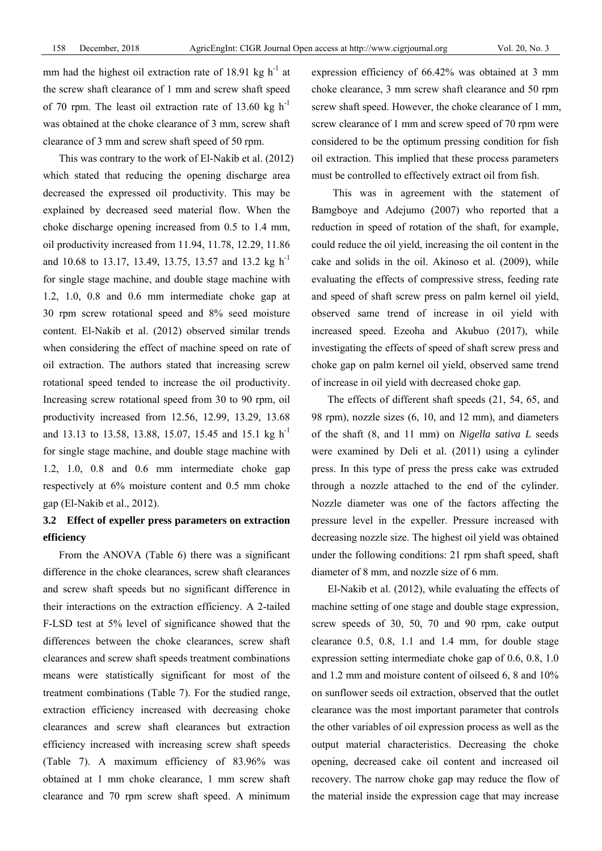mm had the highest oil extraction rate of 18.91 kg  $h^{-1}$  at the screw shaft clearance of 1 mm and screw shaft speed of 70 rpm. The least oil extraction rate of 13.60 kg  $h^{-1}$ was obtained at the choke clearance of 3 mm, screw shaft clearance of 3 mm and screw shaft speed of 50 rpm.

This was contrary to the work of El-Nakib et al. (2012) which stated that reducing the opening discharge area decreased the expressed oil productivity. This may be explained by decreased seed material flow. When the choke discharge opening increased from 0.5 to 1.4 mm, oil productivity increased from 11.94, 11.78, 12.29, 11.86 and 10.68 to 13.17, 13.49, 13.75, 13.57 and 13.2 kg h<sup>-1</sup> for single stage machine, and double stage machine with 1.2, 1.0, 0.8 and 0.6 mm intermediate choke gap at 30 rpm screw rotational speed and 8% seed moisture content. El-Nakib et al. (2012) observed similar trends when considering the effect of machine speed on rate of oil extraction. The authors stated that increasing screw rotational speed tended to increase the oil productivity. Increasing screw rotational speed from 30 to 90 rpm, oil productivity increased from 12.56, 12.99, 13.29, 13.68 and 13.13 to 13.58, 13.88, 15.07, 15.45 and 15.1 kg h<sup>-1</sup> for single stage machine, and double stage machine with 1.2, 1.0, 0.8 and 0.6 mm intermediate choke gap respectively at 6% moisture content and 0.5 mm choke gap (El-Nakib et al., 2012).

# **3.2 Effect of expeller press parameters on extraction efficiency**

From the ANOVA (Table 6) there was a significant difference in the choke clearances, screw shaft clearances and screw shaft speeds but no significant difference in their interactions on the extraction efficiency. A 2-tailed F-LSD test at 5% level of significance showed that the differences between the choke clearances, screw shaft clearances and screw shaft speeds treatment combinations means were statistically significant for most of the treatment combinations (Table 7). For the studied range, extraction efficiency increased with decreasing choke clearances and screw shaft clearances but extraction efficiency increased with increasing screw shaft speeds (Table 7). A maximum efficiency of 83.96% was obtained at 1 mm choke clearance, 1 mm screw shaft clearance and 70 rpm screw shaft speed. A minimum

expression efficiency of 66.42% was obtained at 3 mm choke clearance, 3 mm screw shaft clearance and 50 rpm screw shaft speed. However, the choke clearance of 1 mm, screw clearance of 1 mm and screw speed of 70 rpm were considered to be the optimum pressing condition for fish oil extraction. This implied that these process parameters must be controlled to effectively extract oil from fish.

 This was in agreement with the statement of Bamgboye and Adejumo (2007) who reported that a reduction in speed of rotation of the shaft, for example, could reduce the oil yield, increasing the oil content in the cake and solids in the oil. Akinoso et al. (2009), while evaluating the effects of compressive stress, feeding rate and speed of shaft screw press on palm kernel oil yield, observed same trend of increase in oil yield with increased speed. Ezeoha and Akubuo (2017), while investigating the effects of speed of shaft screw press and choke gap on palm kernel oil yield, observed same trend of increase in oil yield with decreased choke gap*.* 

The effects of different shaft speeds (21, 54, 65, and 98 rpm), nozzle sizes (6, 10, and 12 mm), and diameters of the shaft (8, and 11 mm) on *Nigella sativa L* seeds were examined by Deli et al. (2011) using a cylinder press. In this type of press the press cake was extruded through a nozzle attached to the end of the cylinder. Nozzle diameter was one of the factors affecting the pressure level in the expeller. Pressure increased with decreasing nozzle size. The highest oil yield was obtained under the following conditions: 21 rpm shaft speed, shaft diameter of 8 mm, and nozzle size of 6 mm.

El-Nakib et al. (2012), while evaluating the effects of machine setting of one stage and double stage expression, screw speeds of 30, 50, 70 and 90 rpm, cake output clearance 0.5, 0.8, 1.1 and 1.4 mm, for double stage expression setting intermediate choke gap of 0.6, 0.8, 1.0 and 1.2 mm and moisture content of oilseed 6, 8 and 10% on sunflower seeds oil extraction, observed that the outlet clearance was the most important parameter that controls the other variables of oil expression process as well as the output material characteristics. Decreasing the choke opening, decreased cake oil content and increased oil recovery. The narrow choke gap may reduce the flow of the material inside the expression cage that may increase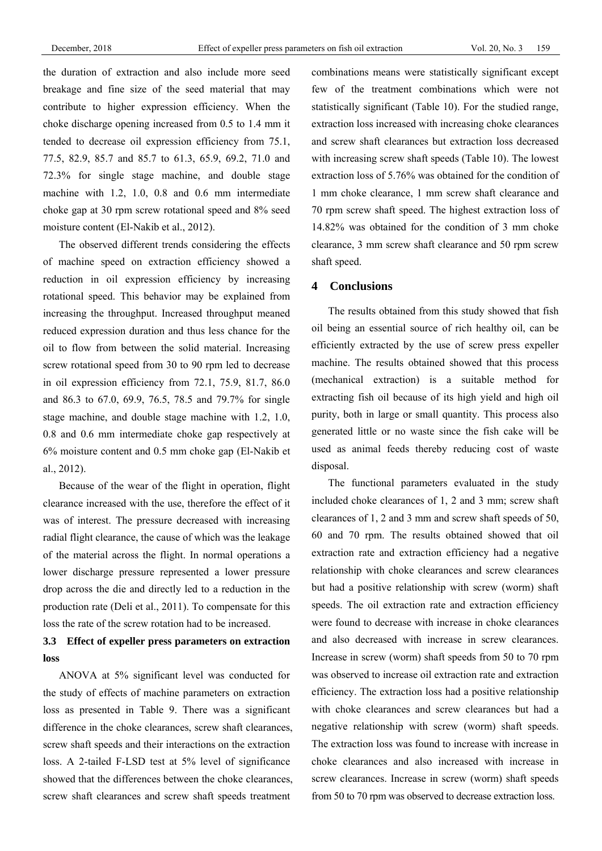the duration of extraction and also include more seed breakage and fine size of the seed material that may contribute to higher expression efficiency. When the choke discharge opening increased from 0.5 to 1.4 mm it tended to decrease oil expression efficiency from 75.1, 77.5, 82.9, 85.7 and 85.7 to 61.3, 65.9, 69.2, 71.0 and 72.3% for single stage machine, and double stage machine with 1.2, 1.0, 0.8 and 0.6 mm intermediate choke gap at 30 rpm screw rotational speed and 8% seed moisture content (El-Nakib et al., 2012).

The observed different trends considering the effects of machine speed on extraction efficiency showed a reduction in oil expression efficiency by increasing rotational speed. This behavior may be explained from increasing the throughput. Increased throughput meaned reduced expression duration and thus less chance for the oil to flow from between the solid material. Increasing screw rotational speed from 30 to 90 rpm led to decrease in oil expression efficiency from 72.1, 75.9, 81.7, 86.0 and 86.3 to 67.0, 69.9, 76.5, 78.5 and 79.7% for single stage machine, and double stage machine with 1.2, 1.0, 0.8 and 0.6 mm intermediate choke gap respectively at 6% moisture content and 0.5 mm choke gap (El-Nakib et al., 2012).

Because of the wear of the flight in operation, flight clearance increased with the use, therefore the effect of it was of interest. The pressure decreased with increasing radial flight clearance, the cause of which was the leakage of the material across the flight. In normal operations a lower discharge pressure represented a lower pressure drop across the die and directly led to a reduction in the production rate (Deli et al., 2011). To compensate for this loss the rate of the screw rotation had to be increased.

## **3.3 Effect of expeller press parameters on extraction loss**

ANOVA at 5% significant level was conducted for the study of effects of machine parameters on extraction loss as presented in Table 9. There was a significant difference in the choke clearances, screw shaft clearances, screw shaft speeds and their interactions on the extraction loss. A 2-tailed F-LSD test at 5% level of significance showed that the differences between the choke clearances, screw shaft clearances and screw shaft speeds treatment

combinations means were statistically significant except few of the treatment combinations which were not statistically significant (Table 10). For the studied range, extraction loss increased with increasing choke clearances and screw shaft clearances but extraction loss decreased with increasing screw shaft speeds (Table 10). The lowest extraction loss of 5.76% was obtained for the condition of 1 mm choke clearance, 1 mm screw shaft clearance and 70 rpm screw shaft speed. The highest extraction loss of 14.82% was obtained for the condition of 3 mm choke clearance, 3 mm screw shaft clearance and 50 rpm screw shaft speed.

### **4 Conclusions**

The results obtained from this study showed that fish oil being an essential source of rich healthy oil, can be efficiently extracted by the use of screw press expeller machine. The results obtained showed that this process (mechanical extraction) is a suitable method for extracting fish oil because of its high yield and high oil purity, both in large or small quantity. This process also generated little or no waste since the fish cake will be used as animal feeds thereby reducing cost of waste disposal.

The functional parameters evaluated in the study included choke clearances of 1, 2 and 3 mm; screw shaft clearances of 1, 2 and 3 mm and screw shaft speeds of 50, 60 and 70 rpm. The results obtained showed that oil extraction rate and extraction efficiency had a negative relationship with choke clearances and screw clearances but had a positive relationship with screw (worm) shaft speeds. The oil extraction rate and extraction efficiency were found to decrease with increase in choke clearances and also decreased with increase in screw clearances. Increase in screw (worm) shaft speeds from 50 to 70 rpm was observed to increase oil extraction rate and extraction efficiency. The extraction loss had a positive relationship with choke clearances and screw clearances but had a negative relationship with screw (worm) shaft speeds. The extraction loss was found to increase with increase in choke clearances and also increased with increase in screw clearances. Increase in screw (worm) shaft speeds from 50 to 70 rpm was observed to decrease extraction loss.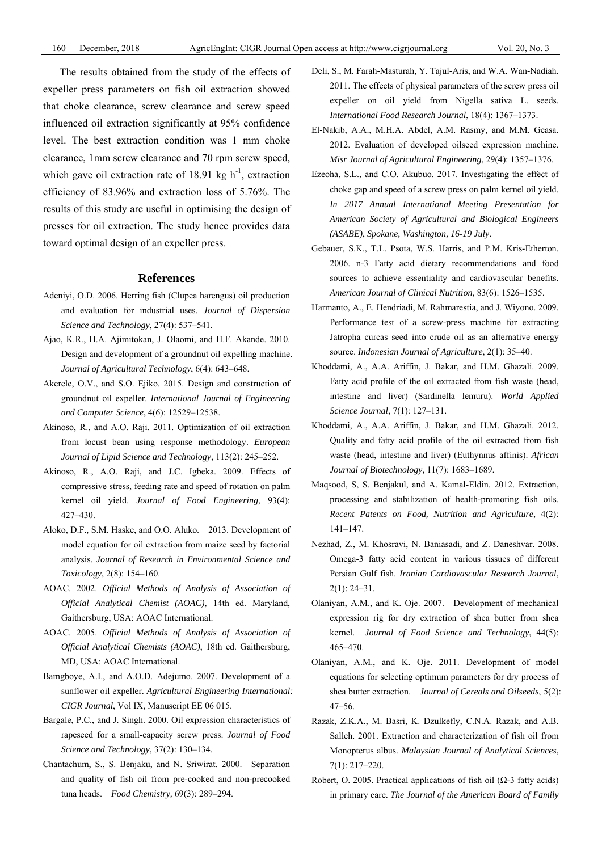The results obtained from the study of the effects of expeller press parameters on fish oil extraction showed that choke clearance, screw clearance and screw speed influenced oil extraction significantly at 95% confidence level. The best extraction condition was 1 mm choke clearance, 1mm screw clearance and 70 rpm screw speed, which gave oil extraction rate of 18.91 kg  $h^{-1}$ , extraction efficiency of 83.96% and extraction loss of 5.76%. The results of this study are useful in optimising the design of presses for oil extraction. The study hence provides data toward optimal design of an expeller press.

#### **References**

- Adeniyi, O.D. 2006. Herring fish (Clupea harengus) oil production and evaluation for industrial uses. *Journal of Dispersion Science and Technology*, 27(4): 537–541.
- Ajao, K.R., H.A. Ajimitokan, J. Olaomi, and H.F. Akande. 2010. Design and development of a groundnut oil expelling machine. *Journal of Agricultural Technology*, 6(4): 643–648.
- Akerele, O.V., and S.O. Ejiko. 2015. Design and construction of groundnut oil expeller. *International Journal of Engineering and Computer Science*, 4(6): 12529–12538.
- Akinoso, R., and A.O. Raji. 2011. Optimization of oil extraction from locust bean using response methodology. *European Journal of Lipid Science and Technology*, 113(2): 245–252.
- Akinoso, R., A.O. Raji, and J.C. Igbeka. 2009. Effects of compressive stress, feeding rate and speed of rotation on palm kernel oil yield. *Journal of Food Engineering*, 93(4): 427–430.
- Aloko, D.F., S.M. Haske, and O.O. Aluko. 2013. Development of model equation for oil extraction from maize seed by factorial analysis. *Journal of Research in Environmental Science and Toxicology*, 2(8): 154–160.
- AOAC. 2002. *Official Methods of Analysis of Association of Official Analytical Chemist (AOAC)*, 14th ed. Maryland, Gaithersburg, USA: AOAC International.
- AOAC. 2005. *Official Methods of Analysis of Association of Official Analytical Chemists (AOAC)*, 18th ed. Gaithersburg, MD, USA: AOAC International.
- Bamgboye, A.I., and A.O.D. Adejumo. 2007. Development of a sunflower oil expeller. *Agricultural Engineering International: CIGR Journal*, Vol IX, Manuscript EE 06 015.
- Bargale, P.C., and J. Singh. 2000. Oil expression characteristics of rapeseed for a small-capacity screw press. *Journal of Food Science and Technology*, 37(2): 130–134.
- Chantachum, S., S. Benjaku, and N. Sriwirat. 2000. Separation and quality of fish oil from pre-cooked and non-precooked tuna heads. *Food Chemistry,* 69(3): 289–294.
- Deli, S., M. Farah-Masturah, Y. Tajul-Aris, and W.A. Wan-Nadiah. 2011. The effects of physical parameters of the screw press oil expeller on oil yield from Nigella sativa L. seeds. *International Food Research Journal*, 18(4): 1367–1373.
- El-Nakib, A.A., M.H.A. Abdel, A.M. Rasmy, and M.M. Geasa. 2012. Evaluation of developed oilseed expression machine. *Misr Journal of Agricultural Engineering*, 29(4): 1357–1376.
- Ezeoha, S.L., and C.O. Akubuo. 2017. Investigating the effect of choke gap and speed of a screw press on palm kernel oil yield. *In 2017 Annual International Meeting Presentation for American Society of Agricultural and Biological Engineers (ASABE)*, *Spokane, Washington, 16-19 July*.
- Gebauer, S.K., T.L. Psota, W.S. Harris, and P.M. Kris-Etherton. 2006. n-3 Fatty acid dietary recommendations and food sources to achieve essentiality and cardiovascular benefits. *American Journal of Clinical Nutrition*, 83(6): 1526–1535.
- Harmanto, A., E. Hendriadi, M. Rahmarestia, and J. Wiyono. 2009. Performance test of a screw-press machine for extracting Jatropha curcas seed into crude oil as an alternative energy source. *Indonesian Journal of Agriculture*, 2(1): 35–40.
- Khoddami, A., A.A. Ariffin, J. Bakar, and H.M. Ghazali. 2009. Fatty acid profile of the oil extracted from fish waste (head, intestine and liver) (Sardinella lemuru). *World Applied Science Journal*, 7(1): 127–131.
- Khoddami, A., A.A. Ariffin, J. Bakar, and H.M. Ghazali. 2012. Quality and fatty acid profile of the oil extracted from fish waste (head, intestine and liver) (Euthynnus affinis). *African Journal of Biotechnology*, 11(7): 1683–1689.
- Maqsood, S, S. Benjakul, and A. Kamal-Eldin. 2012. Extraction, processing and stabilization of health-promoting fish oils. *Recent Patents on Food, Nutrition and Agriculture*, 4(2): 141–147.
- Nezhad, Z., M. Khosravi, N. Baniasadi, and Z. Daneshvar. 2008. Omega-3 fatty acid content in various tissues of different Persian Gulf fish. *Iranian Cardiovascular Research Journal*, 2(1): 24–31.
- Olaniyan, A.M., and K. Oje. 2007. Development of mechanical expression rig for dry extraction of shea butter from shea kernel. *Journal of Food Science and Technology*, 44(5): 465–470.
- Olaniyan, A.M., and K. Oje. 2011. Development of model equations for selecting optimum parameters for dry process of shea butter extraction. *Journal of Cereals and Oilseeds*, 5(2): 47–56.
- Razak, Z.K.A., M. Basri, K. Dzulkefly, C.N.A. Razak, and A.B. Salleh. 2001. Extraction and characterization of fish oil from Monopterus albus. *Malaysian Journal of Analytical Sciences*, 7(1): 217–220.
- Robert, O. 2005. Practical applications of fish oil ( $\Omega$ -3 fatty acids) in primary care. *The Journal of the American Board of Family*